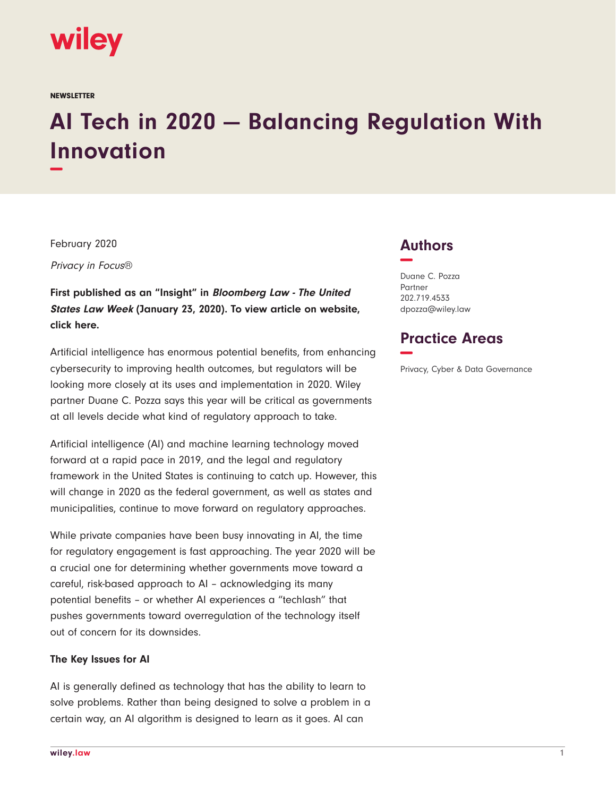

**NEWSLETTER** 

# **AI Tech in 2020 — Balancing Regulation With Innovation −**

February 2020

Privacy in Focus®

**First published as an "Insight" in Bloomberg Law - The United States Law Week (January 23, 2020). To view article on website, click here.**

Artificial intelligence has enormous potential benefits, from enhancing cybersecurity to improving health outcomes, but regulators will be looking more closely at its uses and implementation in 2020. Wiley partner Duane C. Pozza says this year will be critical as governments at all levels decide what kind of regulatory approach to take.

Artificial intelligence (AI) and machine learning technology moved forward at a rapid pace in 2019, and the legal and regulatory framework in the United States is continuing to catch up. However, this will change in 2020 as the federal government, as well as states and municipalities, continue to move forward on regulatory approaches.

While private companies have been busy innovating in AI, the time for regulatory engagement is fast approaching. The year 2020 will be a crucial one for determining whether governments move toward a careful, risk-based approach to AI – acknowledging its many potential benefits – or whether AI experiences a "techlash" that pushes governments toward overregulation of the technology itself out of concern for its downsides.

#### **The Key Issues for AI**

AI is generally defined as technology that has the ability to learn to solve problems. Rather than being designed to solve a problem in a certain way, an AI algorithm is designed to learn as it goes. AI can

## **Authors −**

Duane C. Pozza Partner 202.719.4533 dpozza@wiley.law

## **Practice Areas −**

Privacy, Cyber & Data Governance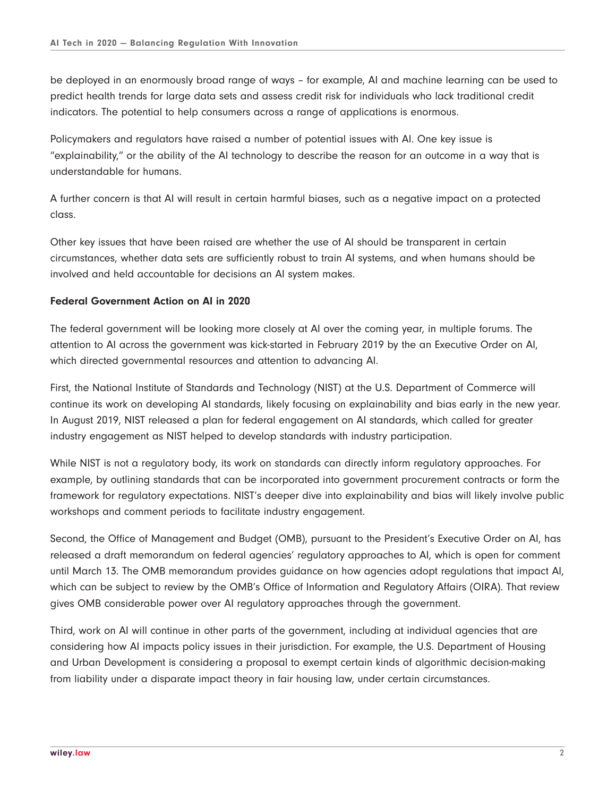be deployed in an enormously broad range of ways – for example, AI and machine learning can be used to predict health trends for large data sets and assess credit risk for individuals who lack traditional credit indicators. The potential to help consumers across a range of applications is enormous.

Policymakers and regulators have raised a number of potential issues with AI. One key issue is "explainability," or the ability of the AI technology to describe the reason for an outcome in a way that is understandable for humans.

A further concern is that AI will result in certain harmful biases, such as a negative impact on a protected class.

Other key issues that have been raised are whether the use of AI should be transparent in certain circumstances, whether data sets are sufficiently robust to train AI systems, and when humans should be involved and held accountable for decisions an AI system makes.

### **Federal Government Action on AI in 2020**

The federal government will be looking more closely at AI over the coming year, in multiple forums. The attention to AI across the government was kick-started in February 2019 by the an Executive Order on AI, which directed governmental resources and attention to advancing AI.

First, the National Institute of Standards and Technology (NIST) at the U.S. Department of Commerce will continue its work on developing AI standards, likely focusing on explainability and bias early in the new year. In August 2019, NIST released a plan for federal engagement on AI standards, which called for greater industry engagement as NIST helped to develop standards with industry participation.

While NIST is not a regulatory body, its work on standards can directly inform regulatory approaches. For example, by outlining standards that can be incorporated into government procurement contracts or form the framework for regulatory expectations. NIST's deeper dive into explainability and bias will likely involve public workshops and comment periods to facilitate industry engagement.

Second, the Office of Management and Budget (OMB), pursuant to the President's Executive Order on AI, has released a draft memorandum on federal agencies' regulatory approaches to AI, which is open for comment until March 13. The OMB memorandum provides guidance on how agencies adopt regulations that impact AI, which can be subject to review by the OMB's Office of Information and Regulatory Affairs (OIRA). That review gives OMB considerable power over AI regulatory approaches through the government.

Third, work on AI will continue in other parts of the government, including at individual agencies that are considering how AI impacts policy issues in their jurisdiction. For example, the U.S. Department of Housing and Urban Development is considering a proposal to exempt certain kinds of algorithmic decision-making from liability under a disparate impact theory in fair housing law, under certain circumstances.